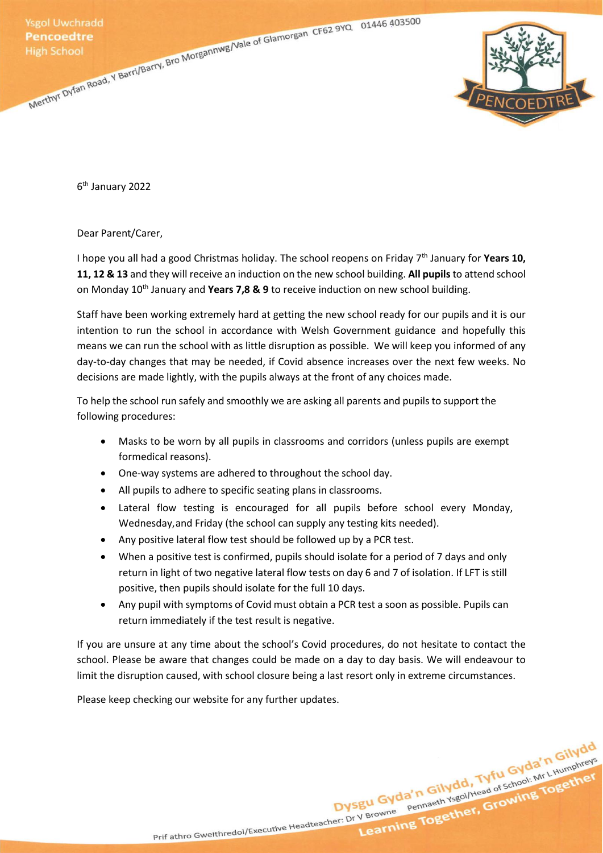Ysgol Uwchradd<br>
Pencoedtre<br>
High School<br>
Merthyl Dyfan Road, Y Barri/Barry, Bro Morgannwg/Vale of Glamorgan CF62 9YQ<br>
Merthyl Dyfan Road, Y Barri/Barry, Bro Morgannwg/Vale of Glamorgan CF62 9YQ<br>
Merthyl Dyfan Road, Y Barri



6 th January 2022

Dear Parent/Carer,

I hope you all had a good Christmas holiday. The school reopens on Friday 7<sup>th</sup> January for **Years 10, 11, 12 & 13** and they will receive an induction on the new school building. **All pupils** to attend school on Monday 10th January and **Years 7,8 & 9** to receive induction on new school building.

Staff have been working extremely hard at getting the new school ready for our pupils and it is our intention to run the school in accordance with Welsh Government guidance and hopefully this means we can run the school with as little disruption as possible. We will keep you informed of any day-to-day changes that may be needed, if Covid absence increases over the next few weeks. No decisions are made lightly, with the pupils always at the front of any choices made.

To help the school run safely and smoothly we are asking all parents and pupils to support the following procedures:

- Masks to be worn by all pupils in classrooms and corridors (unless pupils are exempt formedical reasons).
- One-way systems are adhered to throughout the school day.
- All pupils to adhere to specific seating plans in classrooms.
- Lateral flow testing is encouraged for all pupils before school every Monday, Wednesday, and Friday (the school can supply any testing kits needed).
- Any positive lateral flow test should be followed up by a PCR test.
- When a positive test is confirmed, pupils should isolate for a period of 7 days and only return in light of two negative lateral flow tests on day 6 and 7 of isolation. If LFT is still positive, then pupils should isolate for the full 10 days.
- Any pupil with symptoms of Covid must obtain a PCR test a soon as possible. Pupils can return immediately if the test result is negative.

If you are unsure at any time about the school's Covid procedures, do not hesitate to contact the school. Please be aware that changes could be made on a day to day basis. We will endeavour to limit the disruption caused, with school closure being a last resort only in extreme circumstances.

Dysgu Gyda'n Gilydd, Tyfu Gyda'n Gilydd<br>Dysgu Gyda'n Gilydd, Tyfu Gyda'n Gilydd<br>Dysgu Gyda'n Gilydd, Tyfu Gyda'n L<sub>Humphreys</sub>

Please keep checking our website for any further updates.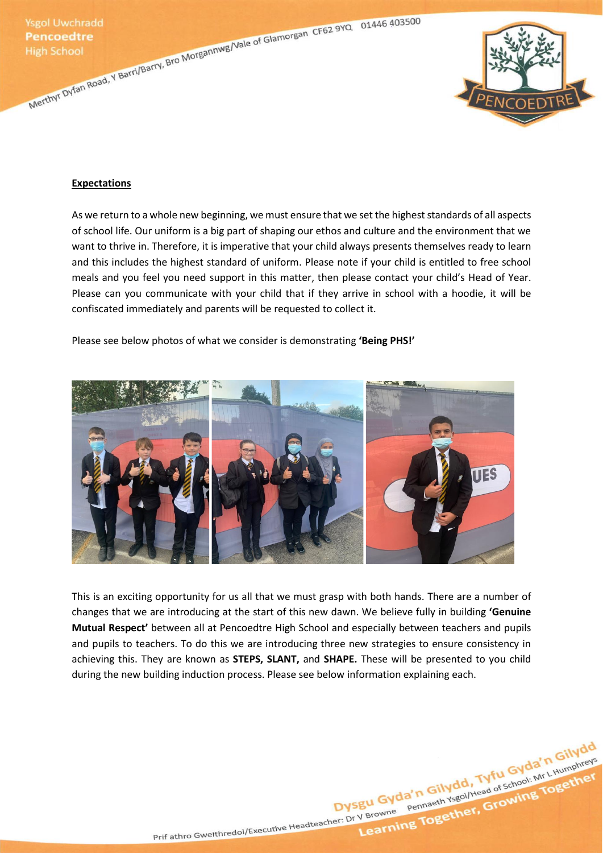Ysgol Uwchradd<br>
Pencoedtre<br>
High School<br>
Merthyl Dyfan Road, Y Barri/Barry, Bro Morgannwg/Vale of Glamorgan CF62 9YQ<br>
Merthyl Dyfan Road, Y Barri/Barry, Bro Morgannwg/Vale of Glamorgan CF62 9YQ<br>
Merthyl Dyfan Road, Y Barri



### **Expectations**

As we return to a whole new beginning, we must ensure that we set the highest standards of all aspects of school life. Our uniform is a big part of shaping our ethos and culture and the environment that we want to thrive in. Therefore, it is imperative that your child always presents themselves ready to learn and this includes the highest standard of uniform. Please note if your child is entitled to free school meals and you feel you need support in this matter, then please contact your child's Head of Year. Please can you communicate with your child that if they arrive in school with a hoodie, it will be confiscated immediately and parents will be requested to collect it.

## Please see below photos of what we consider is demonstrating **'Being PHS!'**



This is an exciting opportunity for us all that we must grasp with both hands. There are a number of changes that we are introducing at the start of this new dawn. We believe fully in building **'Genuine Mutual Respect'** between all at Pencoedtre High School and especially between teachers and pupils and pupils to teachers. To do this we are introducing three new strategies to ensure consistency in achieving this. They are known as **STEPS, SLANT,** and **SHAPE.** These will be presented to you child during the new building induction process. Please see below information explaining each.

Dysgu Gyda'n Gilydd, Tyfu Gyda'n Gilydd<br>Dysgu Gyda'n Gilydd, Tyfu Gyda'n Llumphreys<br>Dysgu Gyda'n Gilydd, Tyfu Gyda'n Llumphreys Prif athro Gweithredol/Executive Headteacher: Dr V Browne Pennaeth Ysgol/Head of School: Mr L Humphreys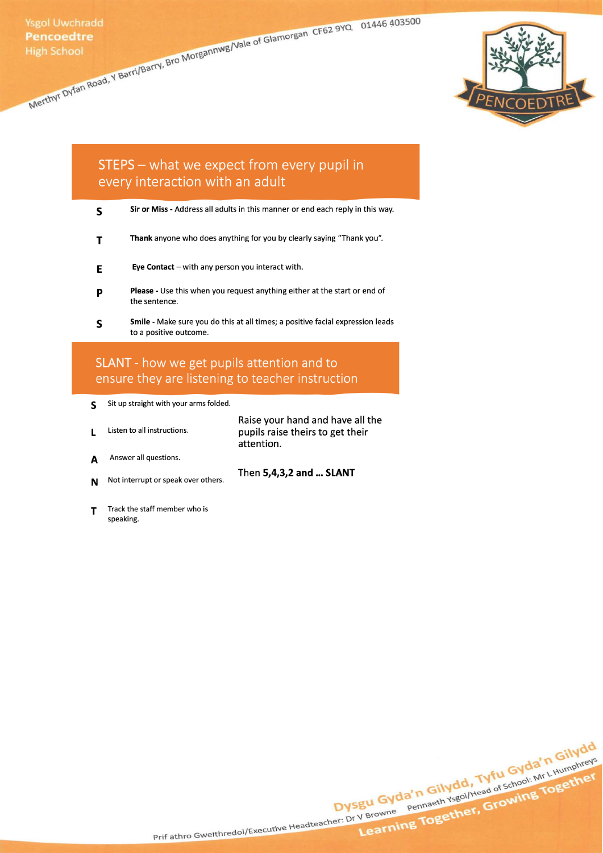Merthyl Dyfan Road, Y Barri/Barry, Bro Morgannwg/Vale of Glamorgan CF62 9YQ 01446 403500



# STEPS - what we expect from every pupil in every interaction with an adult

|  |  |  | Sir or Miss - Address all adults in this manner or end each reply in this way. |
|--|--|--|--------------------------------------------------------------------------------|
|--|--|--|--------------------------------------------------------------------------------|

- Thank anyone who does anything for you by clearly saying "Thank you".  $\mathbf{T}$
- Eye Contact  $-$  with any person you interact with. E
- Please Use this when you request anything either at the start or end of P the sentence.
- Smile Make sure you do this at all times; a positive facial expression leads S to a positive outcome.

# SLANT - how we get pupils attention and to ensure they are listening to teacher instruction

- S Sit up straight with your arms folded.
- Raise your hand and have all the Listen to all instructions. pupils raise theirs to get their  $\mathbf{L}$ attention.

Then 5,4,3,2 and ... SLANT

- Answer all questions. A
- Not interrupt or speak over others. N
- Track the staff member who is T speaking.